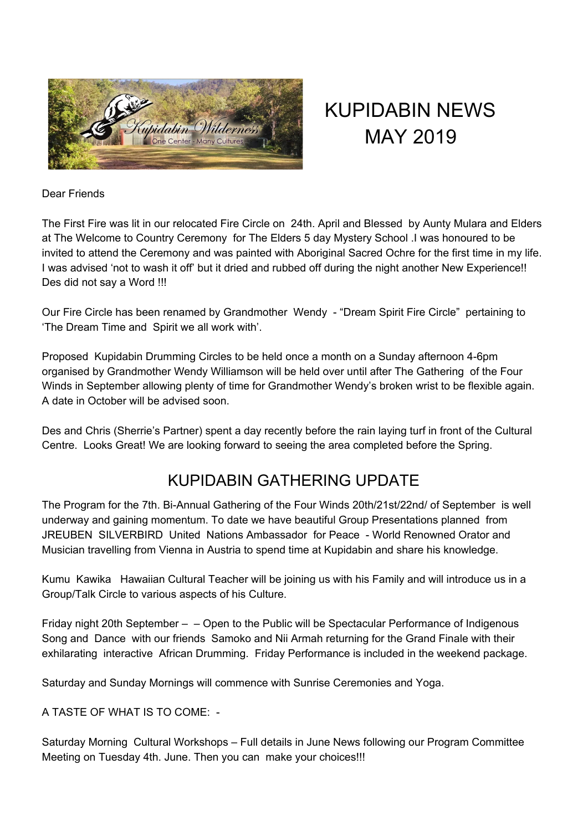

# KUPIDABIN NEWS MAY 2019

#### Dear Friends

The First Fire was lit in our relocated Fire Circle on 24th. April and Blessed by Aunty Mulara and Elders at The Welcome to Country Ceremony for The Elders 5 day Mystery School .I was honoured to be invited to attend the Ceremony and was painted with Aboriginal Sacred Ochre for the first time in my life. I was advised 'not to wash it off' but it dried and rubbed off during the night another New Experience!! Des did not say a Word !!!

Our Fire Circle has been renamed by Grandmother Wendy - "Dream Spirit Fire Circle" pertaining to 'The Dream Time and Spirit we all work with'.

Proposed Kupidabin Drumming Circles to be held once a month on a Sunday afternoon 4-6pm organised by Grandmother Wendy Williamson will be held over until after The Gathering of the Four Winds in September allowing plenty of time for Grandmother Wendy's broken wrist to be flexible again. A date in October will be advised soon.

Des and Chris (Sherrie's Partner) spent a day recently before the rain laying turf in front of the Cultural Centre. Looks Great! We are looking forward to seeing the area completed before the Spring.

## KUPIDABIN GATHERING UPDATE

The Program for the 7th. Bi-Annual Gathering of the Four Winds 20th/21st/22nd/ of September is well underway and gaining momentum. To date we have beautiful Group Presentations planned from JREUBEN SILVERBIRD United Nations Ambassador for Peace - World Renowned Orator and Musician travelling from Vienna in Austria to spend time at Kupidabin and share his knowledge.

Kumu Kawika Hawaiian Cultural Teacher will be joining us with his Family and will introduce us in a Group/Talk Circle to various aspects of his Culture.

Friday night 20th September – – Open to the Public will be Spectacular Performance of Indigenous Song and Dance with our friends Samoko and Nii Armah returning for the Grand Finale with their exhilarating interactive African Drumming. Friday Performance is included in the weekend package.

Saturday and Sunday Mornings will commence with Sunrise Ceremonies and Yoga.

A TASTE OF WHAT IS TO COME: -

Saturday Morning Cultural Workshops – Full details in June News following our Program Committee Meeting on Tuesday 4th. June. Then you can make your choices!!!